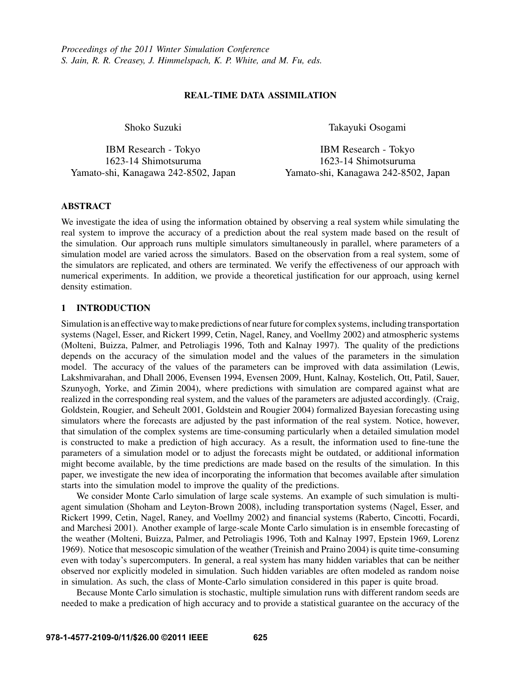## REAL-TIME DATA ASSIMILATION

Shoko Suzuki

IBM Research - Tokyo 1623-14 Shimotsuruma Yamato-shi, Kanagawa 242-8502, Japan Takayuki Osogami

IBM Research - Tokyo 1623-14 Shimotsuruma Yamato-shi, Kanagawa 242-8502, Japan

## ABSTRACT

We investigate the idea of using the information obtained by observing a real system while simulating the real system to improve the accuracy of a prediction about the real system made based on the result of the simulation. Our approach runs multiple simulators simultaneously in parallel, where parameters of a simulation model are varied across the simulators. Based on the observation from a real system, some of the simulators are replicated, and others are terminated. We verify the effectiveness of our approach with numerical experiments. In addition, we provide a theoretical justification for our approach, using kernel density estimation.

# 1 INTRODUCTION

Simulation is an effective way to make predictions of near future for complex systems, including transportation systems (Nagel, Esser, and Rickert 1999, Cetin, Nagel, Raney, and Voellmy 2002) and atmospheric systems (Molteni, Buizza, Palmer, and Petroliagis 1996, Toth and Kalnay 1997). The quality of the predictions depends on the accuracy of the simulation model and the values of the parameters in the simulation model. The accuracy of the values of the parameters can be improved with data assimilation (Lewis, Lakshmivarahan, and Dhall 2006, Evensen 1994, Evensen 2009, Hunt, Kalnay, Kostelich, Ott, Patil, Sauer, Szunyogh, Yorke, and Zimin 2004), where predictions with simulation are compared against what are realized in the corresponding real system, and the values of the parameters are adjusted accordingly. (Craig, Goldstein, Rougier, and Seheult 2001, Goldstein and Rougier 2004) formalized Bayesian forecasting using simulators where the forecasts are adjusted by the past information of the real system. Notice, however, that simulation of the complex systems are time-consuming particularly when a detailed simulation model is constructed to make a prediction of high accuracy. As a result, the information used to fine-tune the parameters of a simulation model or to adjust the forecasts might be outdated, or additional information might become available, by the time predictions are made based on the results of the simulation. In this paper, we investigate the new idea of incorporating the information that becomes available after simulation starts into the simulation model to improve the quality of the predictions.

We consider Monte Carlo simulation of large scale systems. An example of such simulation is multiagent simulation (Shoham and Leyton-Brown 2008), including transportation systems (Nagel, Esser, and Rickert 1999, Cetin, Nagel, Raney, and Voellmy 2002) and financial systems (Raberto, Cincotti, Focardi, and Marchesi 2001). Another example of large-scale Monte Carlo simulation is in ensemble forecasting of the weather (Molteni, Buizza, Palmer, and Petroliagis 1996, Toth and Kalnay 1997, Epstein 1969, Lorenz 1969). Notice that mesoscopic simulation of the weather (Treinish and Praino 2004) is quite time-consuming even with today's supercomputers. In general, a real system has many hidden variables that can be neither observed nor explicitly modeled in simulation. Such hidden variables are often modeled as random noise in simulation. As such, the class of Monte-Carlo simulation considered in this paper is quite broad.

Because Monte Carlo simulation is stochastic, multiple simulation runs with different random seeds are needed to make a predication of high accuracy and to provide a statistical guarantee on the accuracy of the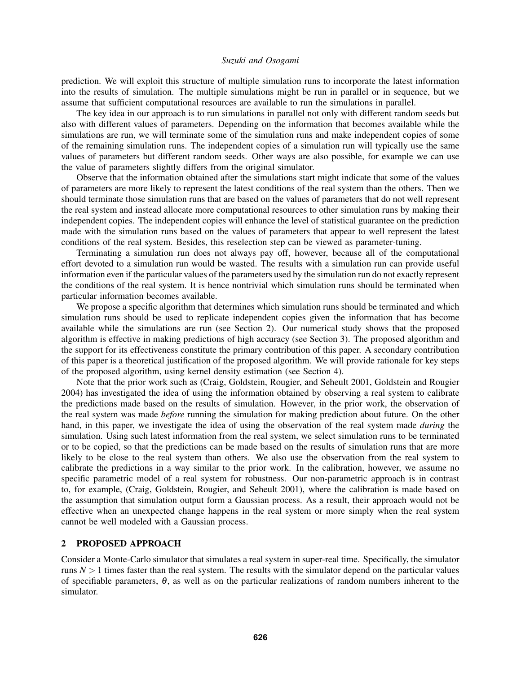prediction. We will exploit this structure of multiple simulation runs to incorporate the latest information into the results of simulation. The multiple simulations might be run in parallel or in sequence, but we assume that sufficient computational resources are available to run the simulations in parallel.

The key idea in our approach is to run simulations in parallel not only with different random seeds but also with different values of parameters. Depending on the information that becomes available while the simulations are run, we will terminate some of the simulation runs and make independent copies of some of the remaining simulation runs. The independent copies of a simulation run will typically use the same values of parameters but different random seeds. Other ways are also possible, for example we can use the value of parameters slightly differs from the original simulator.

Observe that the information obtained after the simulations start might indicate that some of the values of parameters are more likely to represent the latest conditions of the real system than the others. Then we should terminate those simulation runs that are based on the values of parameters that do not well represent the real system and instead allocate more computational resources to other simulation runs by making their independent copies. The independent copies will enhance the level of statistical guarantee on the prediction made with the simulation runs based on the values of parameters that appear to well represent the latest conditions of the real system. Besides, this reselection step can be viewed as parameter-tuning.

Terminating a simulation run does not always pay off, however, because all of the computational effort devoted to a simulation run would be wasted. The results with a simulation run can provide useful information even if the particular values of the parameters used by the simulation run do not exactly represent the conditions of the real system. It is hence nontrivial which simulation runs should be terminated when particular information becomes available.

We propose a specific algorithm that determines which simulation runs should be terminated and which simulation runs should be used to replicate independent copies given the information that has become available while the simulations are run (see Section 2). Our numerical study shows that the proposed algorithm is effective in making predictions of high accuracy (see Section 3). The proposed algorithm and the support for its effectiveness constitute the primary contribution of this paper. A secondary contribution of this paper is a theoretical justification of the proposed algorithm. We will provide rationale for key steps of the proposed algorithm, using kernel density estimation (see Section 4).

Note that the prior work such as (Craig, Goldstein, Rougier, and Seheult 2001, Goldstein and Rougier 2004) has investigated the idea of using the information obtained by observing a real system to calibrate the predictions made based on the results of simulation. However, in the prior work, the observation of the real system was made *before* running the simulation for making prediction about future. On the other hand, in this paper, we investigate the idea of using the observation of the real system made *during* the simulation. Using such latest information from the real system, we select simulation runs to be terminated or to be copied, so that the predictions can be made based on the results of simulation runs that are more likely to be close to the real system than others. We also use the observation from the real system to calibrate the predictions in a way similar to the prior work. In the calibration, however, we assume no specific parametric model of a real system for robustness. Our non-parametric approach is in contrast to, for example, (Craig, Goldstein, Rougier, and Seheult 2001), where the calibration is made based on the assumption that simulation output form a Gaussian process. As a result, their approach would not be effective when an unexpected change happens in the real system or more simply when the real system cannot be well modeled with a Gaussian process.

## 2 PROPOSED APPROACH

Consider a Monte-Carlo simulator that simulates a real system in super-real time. Specifically, the simulator runs  $N > 1$  times faster than the real system. The results with the simulator depend on the particular values of specifiable parameters,  $\theta$ , as well as on the particular realizations of random numbers inherent to the simulator.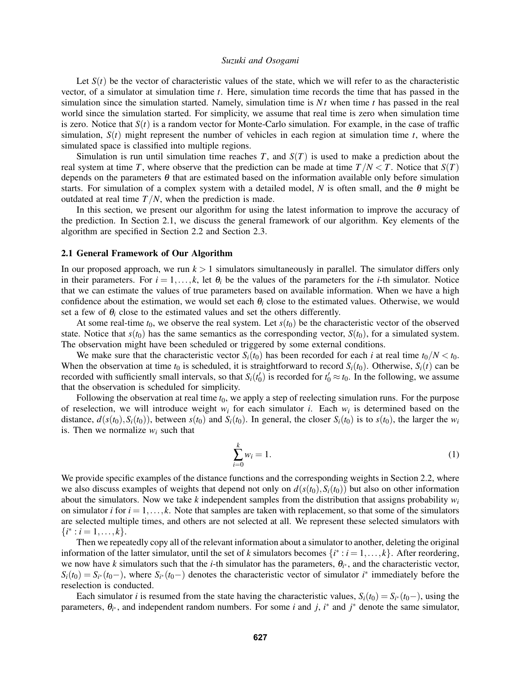Let  $S(t)$  be the vector of characteristic values of the state, which we will refer to as the characteristic vector, of a simulator at simulation time *t*. Here, simulation time records the time that has passed in the simulation since the simulation started. Namely, simulation time is *N t* when time *t* has passed in the real world since the simulation started. For simplicity, we assume that real time is zero when simulation time is zero. Notice that  $S(t)$  is a random vector for Monte-Carlo simulation. For example, in the case of traffic simulation,  $S(t)$  might represent the number of vehicles in each region at simulation time  $t$ , where the simulated space is classified into multiple regions.

Simulation is run until simulation time reaches  $T$ , and  $S(T)$  is used to make a prediction about the real system at time *T*, where observe that the prediction can be made at time  $T/N < T$ . Notice that  $S(T)$ depends on the parameters  $\theta$  that are estimated based on the information available only before simulation starts. For simulation of a complex system with a detailed model,  $N$  is often small, and the  $\theta$  might be outdated at real time  $T/N$ , when the prediction is made.

In this section, we present our algorithm for using the latest information to improve the accuracy of the prediction. In Section 2.1, we discuss the general framework of our algorithm. Key elements of the algorithm are specified in Section 2.2 and Section 2.3.

### 2.1 General Framework of Our Algorithm

In our proposed approach, we run  $k > 1$  simulators simultaneously in parallel. The simulator differs only in their parameters. For  $i = 1, ..., k$ , let  $\theta_i$  be the values of the parameters for the *i*-th simulator. Notice that we can estimate the values of true parameters based on available information. When we have a high confidence about the estimation, we would set each  $\theta_i$  close to the estimated values. Otherwise, we would set a few of  $\theta_i$  close to the estimated values and set the others differently.

At some real-time  $t_0$ , we observe the real system. Let  $s(t_0)$  be the characteristic vector of the observed state. Notice that  $s(t_0)$  has the same semantics as the corresponding vector,  $S(t_0)$ , for a simulated system. The observation might have been scheduled or triggered by some external conditions.

We make sure that the characteristic vector  $S_i(t_0)$  has been recorded for each *i* at real time  $t_0/N < t_0$ . When the observation at time  $t_0$  is scheduled, it is straightforward to record  $S_i(t_0)$ . Otherwise,  $S_i(t)$  can be recorded with sufficiently small intervals, so that  $S_i(t'_0)$  is recorded for  $t'_0 \approx t_0$ . In the following, we assume that the observation is scheduled for simplicity.

Following the observation at real time  $t_0$ , we apply a step of reelecting simulation runs. For the purpose of reselection, we will introduce weight *w<sup>i</sup>* for each simulator *i*. Each *w<sup>i</sup>* is determined based on the distance,  $d(s(t_0), S_i(t_0))$ , between  $s(t_0)$  and  $S_i(t_0)$ . In general, the closer  $S_i(t_0)$  is to  $s(t_0)$ , the larger the  $w_i$ is. Then we normalize  $w_i$  such that

$$
\sum_{i=0}^{k} w_i = 1. \tag{1}
$$

We provide specific examples of the distance functions and the corresponding weights in Section 2.2, where we also discuss examples of weights that depend not only on  $d(s(t_0), S_i(t_0))$  but also on other information about the simulators. Now we take *k* independent samples from the distribution that assigns probability  $w_i$ on simulator *i* for  $i = 1, \ldots, k$ . Note that samples are taken with replacement, so that some of the simulators are selected multiple times, and others are not selected at all. We represent these selected simulators with  $\{i^* : i = 1, \ldots, k\}.$ 

Then we repeatedly copy all of the relevant information about a simulator to another, deleting the original information of the latter simulator, until the set of *k* simulators becomes  $\{i^* : i = 1, ..., k\}$ . After reordering, we now have *k* simulators such that the *i*-th simulator has the parameters,  $\theta_{i^*}$ , and the characteristic vector,  $S_i(t_0) = S_{i^*}(t_0-)$ , where  $S_{i^*}(t_0-)$  denotes the characteristic vector of simulator *i*<sup>\*</sup> immediately before the reselection is conducted.

Each simulator *i* is resumed from the state having the characteristic values,  $S_i(t_0) = S_{i^*}(t_0-)$ , using the parameters,  $\theta_{i^*}$ , and independent random numbers. For some *i* and *j*,  $i^*$  and  $j^*$  denote the same simulator,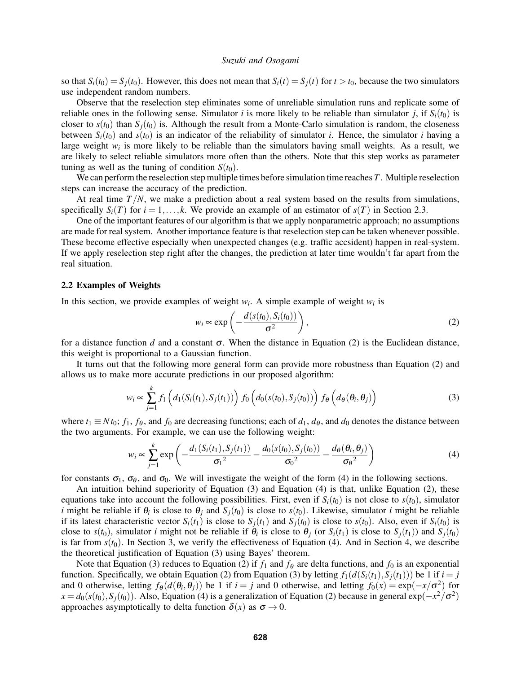so that  $S_i(t_0) = S_j(t_0)$ . However, this does not mean that  $S_i(t) = S_j(t)$  for  $t > t_0$ , because the two simulators use independent random numbers.

Observe that the reselection step eliminates some of unreliable simulation runs and replicate some of reliable ones in the following sense. Simulator *i* is more likely to be reliable than simulator *j*, if  $S_i(t_0)$  is closer to  $s(t_0)$  than  $S<sub>i</sub>(t_0)$  is. Although the result from a Monte-Carlo simulation is random, the closeness between  $S_i(t_0)$  and  $s(t_0)$  is an indicator of the reliability of simulator *i*. Hence, the simulator *i* having a large weight  $w_i$  is more likely to be reliable than the simulators having small weights. As a result, we are likely to select reliable simulators more often than the others. Note that this step works as parameter tuning as well as the tuning of condition  $S(t_0)$ .

We can perform the reselection step multiple times before simulation time reaches *T*. Multiple reselection steps can increase the accuracy of the prediction.

At real time  $T/N$ , we make a prediction about a real system based on the results from simulations, specifically  $S_i(T)$  for  $i = 1, \ldots, k$ . We provide an example of an estimator of  $s(T)$  in Section 2.3.

One of the important features of our algorithm is that we apply nonparametric approach; no assumptions are made for real system. Another importance feature is that reselection step can be taken whenever possible. These become effective especially when unexpected changes (e.g. traffic accsident) happen in real-system. If we apply reselection step right after the changes, the prediction at later time wouldn't far apart from the real situation.

### 2.2 Examples of Weights

In this section, we provide examples of weight  $w_i$ . A simple example of weight  $w_i$  is

$$
w_i \propto \exp\left(-\frac{d(s(t_0), S_i(t_0))}{\sigma^2}\right),\tag{2}
$$

for a distance function *d* and a constant  $\sigma$ . When the distance in Equation (2) is the Euclidean distance, this weight is proportional to a Gaussian function.

It turns out that the following more general form can provide more robustness than Equation (2) and allows us to make more accurate predictions in our proposed algorithm:

$$
w_i \propto \sum_{j=1}^k f_1\left(d_1(S_i(t_1), S_j(t_1))\right) f_0\left(d_0(s(t_0), S_j(t_0))\right) f_{\theta}\left(d_{\theta}(\theta_i, \theta_j)\right)
$$
(3)

where  $t_1 \equiv N t_0$ ;  $f_1$ ,  $f_\theta$ , and  $f_0$  are decreasing functions; each of  $d_1$ ,  $d_\theta$ , and  $d_0$  denotes the distance between the two arguments. For example, we can use the following weight:

$$
w_i \propto \sum_{j=1}^k \exp\left(-\frac{d_1(S_i(t_1), S_j(t_1))}{\sigma_1^2} - \frac{d_0(s(t_0), S_j(t_0))}{\sigma_0^2} - \frac{d_\theta(\theta_i, \theta_j)}{\sigma_\theta^2}\right)
$$
(4)

for constants  $\sigma_1$ ,  $\sigma_\theta$ , and  $\sigma_0$ . We will investigate the weight of the form (4) in the following sections.

An intuition behind superiority of Equation (3) and Equation (4) is that, unlike Equation (2), these equations take into account the following possibilities. First, even if  $S_i(t_0)$  is not close to  $s(t_0)$ , simulator *i* might be reliable if  $\theta_i$  is close to  $\theta_j$  and  $S_j(t_0)$  is close to  $s(t_0)$ . Likewise, simulator *i* might be reliable if its latest characteristic vector  $S_i(t_1)$  is close to  $S_j(t_1)$  and  $S_j(t_0)$  is close to  $s(t_0)$ . Also, even if  $S_i(t_0)$  is close to  $s(t_0)$ , simulator *i* might not be reliable if  $\theta_i$  is close to  $\theta_j$  (or  $S_i(t_1)$  is close to  $S_j(t_1)$ ) and  $S_j(t_0)$ is far from  $s(t_0)$ . In Section 3, we verify the effectiveness of Equation (4). And in Section 4, we describe the theoretical justification of Equation (3) using Bayes' theorem.

Note that Equation (3) reduces to Equation (2) if  $f_1$  and  $f_\theta$  are delta functions, and  $f_0$  is an exponential function. Specifically, we obtain Equation (2) from Equation (3) by letting  $f_1(d(S_i(t_1),S_i(t_1)))$  be 1 if  $i = j$ and 0 otherwise, letting  $f_{\theta}(d(\theta_i, \theta_j))$  be 1 if  $i = j$  and 0 otherwise, and letting  $f_0(x) = \exp(-x/\sigma^2)$  for  $x = d_0(s(t_0), S_j(t_0))$ . Also, Equation (4) is a generalization of Equation (2) because in general  $\exp(-x^2/\sigma^2)$ approaches asymptotically to delta function  $\delta(x)$  as  $\sigma \to 0$ .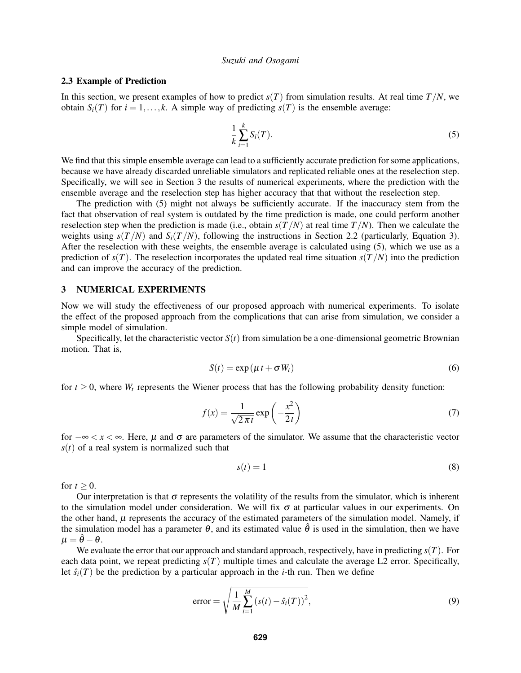#### 2.3 Example of Prediction

In this section, we present examples of how to predict  $s(T)$  from simulation results. At real time  $T/N$ , we obtain *S*<sub>*i*</sub>(*T*) for *i* = 1,...,*k*. A simple way of predicting *s*(*T*) is the ensemble average:

$$
\frac{1}{k}\sum_{i=1}^{k}S_i(T). \tag{5}
$$

We find that this simple ensemble average can lead to a sufficiently accurate prediction for some applications, because we have already discarded unreliable simulators and replicated reliable ones at the reselection step. Specifically, we will see in Section 3 the results of numerical experiments, where the prediction with the ensemble average and the reselection step has higher accuracy that that without the reselection step.

The prediction with (5) might not always be sufficiently accurate. If the inaccuracy stem from the fact that observation of real system is outdated by the time prediction is made, one could perform another reselection step when the prediction is made (i.e., obtain  $s(T/N)$  at real time  $T/N$ ). Then we calculate the weights using  $s(T/N)$  and  $S_i(T/N)$ , following the instructions in Section 2.2 (particularly, Equation 3). After the reselection with these weights, the ensemble average is calculated using (5), which we use as a prediction of  $s(T)$ . The reselection incorporates the updated real time situation  $s(T/N)$  into the prediction and can improve the accuracy of the prediction.

## 3 NUMERICAL EXPERIMENTS

Now we will study the effectiveness of our proposed approach with numerical experiments. To isolate the effect of the proposed approach from the complications that can arise from simulation, we consider a simple model of simulation.

Specifically, let the characteristic vector  $S(t)$  from simulation be a one-dimensional geometric Brownian motion. That is,

$$
S(t) = \exp(\mu t + \sigma W_t)
$$
 (6)

for  $t \geq 0$ , where  $W_t$  represents the Wiener process that has the following probability density function:

$$
f(x) = \frac{1}{\sqrt{2\pi t}} \exp\left(-\frac{x^2}{2t}\right)
$$
 (7)

for  $-\infty < x < \infty$ . Here, *µ* and  $\sigma$  are parameters of the simulator. We assume that the characteristic vector  $s(t)$  of a real system is normalized such that

$$
s(t) = 1 \tag{8}
$$

for  $t > 0$ .

Our interpretation is that  $\sigma$  represents the volatility of the results from the simulator, which is inherent to the simulation model under consideration. We will fix  $\sigma$  at particular values in our experiments. On the other hand,  $\mu$  represents the accuracy of the estimated parameters of the simulation model. Namely, if the simulation model has a parameter  $\theta$ , and its estimated value  $\hat{\theta}$  is used in the simulation, then we have  $\mu = \hat{\theta} - \theta.$ 

We evaluate the error that our approach and standard approach, respectively, have in predicting *s*(*T*). For each data point, we repeat predicting  $s(T)$  multiple times and calculate the average  $L2$  error. Specifically, let  $\hat{s}_i(T)$  be the prediction by a particular approach in the *i*-th run. Then we define

error = 
$$
\sqrt{\frac{1}{M} \sum_{i=1}^{M} (s(t) - \hat{s}_i(T))^2}
$$
, (9)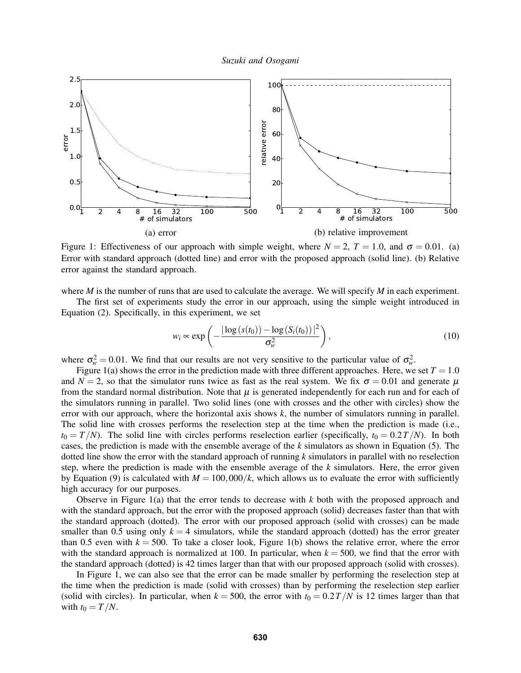



Figure 1: Effectiveness of our approach with simple weight, where  $N = 2$ ,  $T = 1.0$ , and  $\sigma = 0.01$ . (a) Error with standard approach (dotted line) and error with the proposed approach (solid line). (b) Relative error against the standard approach.

where *M* is the number of runs that are used to calculate the average. We will specify *M* in each experiment.

The first set of experiments study the error in our approach, using the simple weight introduced in Equation (2). Specifically, in this experiment, we set

$$
w_i \propto \exp\left(-\frac{|\log(s(t_0)) - \log(S_i(t_0))|^2}{\sigma_w^2}\right),\tag{10}
$$

where  $\sigma_w^2 = 0.01$ . We find that our results are not very sensitive to the particular value of  $\sigma_w^2$ .

Figure 1(a) shows the error in the prediction made with three different approaches. Here, we set  $T = 1.0$ and  $N = 2$ , so that the simulator runs twice as fast as the real system. We fix  $\sigma = 0.01$  and generate  $\mu$ from the standard normal distribution. Note that  $\mu$  is generated independently for each run and for each of the simulators running in parallel. Two solid lines (one with crosses and the other with circles) show the error with our approach, where the horizontal axis shows *k*, the number of simulators running in parallel. The solid line with crosses performs the reselection step at the time when the prediction is made (i.e.,  $t_0 = T/N$ ). The solid line with circles performs reselection earlier (specifically,  $t_0 = 0.2T/N$ ). In both cases, the prediction is made with the ensemble average of the *k* simulators as shown in Equation (5). The dotted line show the error with the standard approach of running *k* simulators in parallel with no reselection step, where the prediction is made with the ensemble average of the *k* simulators. Here, the error given by Equation (9) is calculated with  $M = 100,000/k$ , which allows us to evaluate the error with sufficiently high accuracy for our purposes.

Observe in Figure 1(a) that the error tends to decrease with *k* both with the proposed approach and with the standard approach, but the error with the proposed approach (solid) decreases faster than that with the standard approach (dotted). The error with our proposed approach (solid with crosses) can be made smaller than 0.5 using only  $k = 4$  simulators, while the standard approach (dotted) has the error greater than 0.5 even with  $k = 500$ . To take a closer look, Figure 1(b) shows the relative error, where the error with the standard approach is normalized at 100. In particular, when  $k = 500$ , we find that the error with the standard approach (dotted) is 42 times larger than that with our proposed approach (solid with crosses).

In Figure 1, we can also see that the error can be made smaller by performing the reselection step at the time when the prediction is made (solid with crosses) than by performing the reselection step earlier (solid with circles). In particular, when  $k = 500$ , the error with  $t_0 = 0.2T/N$  is 12 times larger than that with  $t_0 = T/N$ .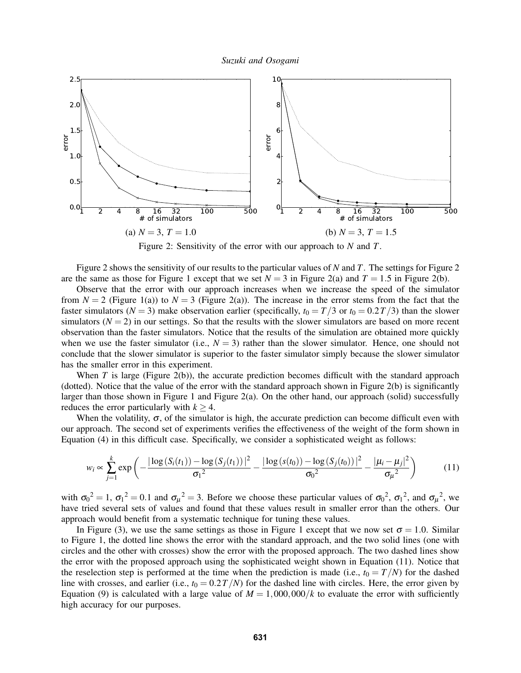

Figure 2: Sensitivity of the error with our approach to *N* and *T*.

Figure 2 shows the sensitivity of our results to the particular values of *N* and *T*. The settings for Figure 2 are the same as those for Figure 1 except that we set  $N = 3$  in Figure 2(a) and  $T = 1.5$  in Figure 2(b).

Observe that the error with our approach increases when we increase the speed of the simulator from  $N = 2$  (Figure 1(a)) to  $N = 3$  (Figure 2(a)). The increase in the error stems from the fact that the faster simulators ( $N = 3$ ) make observation earlier (specifically,  $t_0 = T/3$  or  $t_0 = 0.2T/3$ ) than the slower simulators  $(N = 2)$  in our settings. So that the results with the slower simulators are based on more recent observation than the faster simulators. Notice that the results of the simulation are obtained more quickly when we use the faster simulator (i.e.,  $N = 3$ ) rather than the slower simulator. Hence, one should not conclude that the slower simulator is superior to the faster simulator simply because the slower simulator has the smaller error in this experiment.

When  $T$  is large (Figure 2(b)), the accurate prediction becomes difficult with the standard approach (dotted). Notice that the value of the error with the standard approach shown in Figure 2(b) is significantly larger than those shown in Figure 1 and Figure 2(a). On the other hand, our approach (solid) successfully reduces the error particularly with  $k > 4$ .

When the volatility,  $\sigma$ , of the simulator is high, the accurate prediction can become difficult even with our approach. The second set of experiments verifies the effectiveness of the weight of the form shown in Equation (4) in this difficult case. Specifically, we consider a sophisticated weight as follows:

$$
w_i \propto \sum_{j=1}^k \exp\left(-\frac{|\log(S_i(t_1)) - \log(S_j(t_1))|^2}{\sigma_1^2} - \frac{|\log(s(t_0)) - \log(S_j(t_0))|^2}{\sigma_0^2} - \frac{|\mu_i - \mu_j|^2}{\sigma_{\mu}^2}\right) \tag{11}
$$

with  $\sigma_0^2 = 1$ ,  $\sigma_1^2 = 0.1$  and  $\sigma_\mu^2 = 3$ . Before we choose these particular values of  $\sigma_0^2$ ,  $\sigma_1^2$ , and  $\sigma_\mu^2$ , we have tried several sets of values and found that these values result in smaller error than the others. Our approach would benefit from a systematic technique for tuning these values.

In Figure (3), we use the same settings as those in Figure 1 except that we now set  $\sigma = 1.0$ . Similar to Figure 1, the dotted line shows the error with the standard approach, and the two solid lines (one with circles and the other with crosses) show the error with the proposed approach. The two dashed lines show the error with the proposed approach using the sophisticated weight shown in Equation (11). Notice that the reselection step is performed at the time when the prediction is made (i.e.,  $t_0 = T/N$ ) for the dashed line with crosses, and earlier (i.e.,  $t_0 = 0.2T/N$ ) for the dashed line with circles. Here, the error given by Equation (9) is calculated with a large value of  $M = 1,000,000/k$  to evaluate the error with sufficiently high accuracy for our purposes.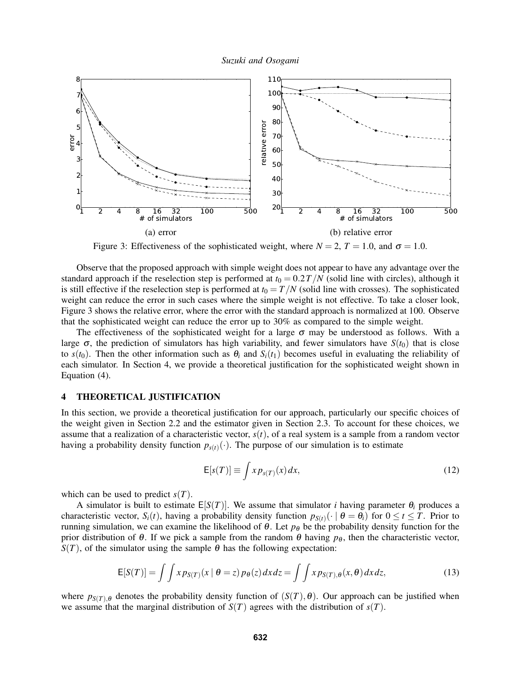

Figure 3: Effectiveness of the sophisticated weight, where  $N = 2$ ,  $T = 1.0$ , and  $\sigma = 1.0$ .

Observe that the proposed approach with simple weight does not appear to have any advantage over the standard approach if the reselection step is performed at  $t_0 = 0.2T/N$  (solid line with circles), although it is still effective if the reselection step is performed at  $t_0 = T/N$  (solid line with crosses). The sophisticated weight can reduce the error in such cases where the simple weight is not effective. To take a closer look, Figure 3 shows the relative error, where the error with the standard approach is normalized at 100. Observe that the sophisticated weight can reduce the error up to 30% as compared to the simple weight.

The effectiveness of the sophisticated weight for a large  $\sigma$  may be understood as follows. With a large  $\sigma$ , the prediction of simulators has high variability, and fewer simulators have  $S(t_0)$  that is close to  $s(t_0)$ . Then the other information such as  $\theta_i$  and  $S_i(t_1)$  becomes useful in evaluating the reliability of each simulator. In Section 4, we provide a theoretical justification for the sophisticated weight shown in Equation (4).

#### 4 THEORETICAL JUSTIFICATION

In this section, we provide a theoretical justification for our approach, particularly our specific choices of the weight given in Section 2.2 and the estimator given in Section 2.3. To account for these choices, we assume that a realization of a characteristic vector,  $s(t)$ , of a real system is a sample from a random vector having a probability density function  $p_{s(t)}(\cdot)$ . The purpose of our simulation is to estimate

$$
E[s(T)] \equiv \int x p_{s(T)}(x) dx,
$$
\n(12)

which can be used to predict  $s(T)$ .

A simulator is built to estimate  $E[S(T)]$ . We assume that simulator *i* having parameter  $\theta_i$  produces a characteristic vector,  $S_i(t)$ , having a probability density function  $p_{S(t)}(\cdot | \theta = \theta_i)$  for  $0 \le t \le T$ . Prior to running simulation, we can examine the likelihood of  $\theta$ . Let  $p_{\theta}$  be the probability density function for the prior distribution of  $\theta$ . If we pick a sample from the random  $\theta$  having  $p_{\theta}$ , then the characteristic vector,  $S(T)$ , of the simulator using the sample  $\theta$  has the following expectation:

$$
E[S(T)] = \int \int x p_{S(T)}(x \mid \theta = z) p_{\theta}(z) dx dz = \int \int x p_{S(T),\theta}(x,\theta) dx dz,
$$
\n(13)

where  $p_{S(T),\theta}$  denotes the probability density function of  $(S(T),\theta)$ . Our approach can be justified when we assume that the marginal distribution of  $S(T)$  agrees with the distribution of  $s(T)$ .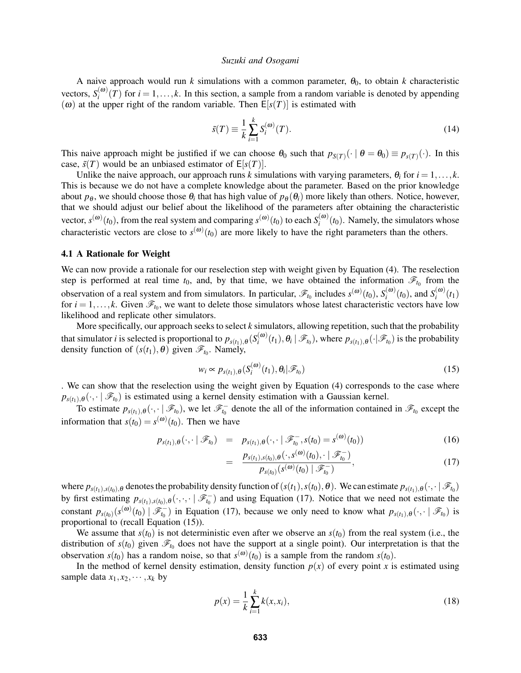A naive approach would run  $k$  simulations with a common parameter,  $\theta_0$ , to obtain  $k$  characteristic vectors,  $S_i^{(\omega)}$  $\binom{a}{i}(T)$  for  $i = 1, ..., k$ . In this section, a sample from a random variable is denoted by appending ( $\omega$ ) at the upper right of the random variable. Then  $E[s(T)]$  is estimated with

$$
\tilde{s}(T) \equiv \frac{1}{k} \sum_{i=1}^{k} S_i^{(\omega)}(T). \tag{14}
$$

This naive approach might be justified if we can choose  $\theta_0$  such that  $p_{S(T)}(\cdot \mid \theta = \theta_0) \equiv p_{S(T)}(\cdot)$ . In this case,  $\tilde{s}(T)$  would be an unbiased estimator of  $E[s(T)]$ .

Unlike the naive approach, our approach runs *k* simulations with varying parameters,  $\theta_i$  for  $i = 1, \ldots, k$ . This is because we do not have a complete knowledge about the parameter. Based on the prior knowledge about  $p_{\theta}$ , we should choose those  $\theta_i$  that has high value of  $p_{\theta}(\theta_i)$  more likely than others. Notice, however, that we should adjust our belief about the likelihood of the parameters after obtaining the characteristic vector,  $s^{(\omega)}(t_0)$ , from the real system and comparing  $s^{(\omega)}(t_0)$  to each  $S_i^{(\omega)}$  $\binom{10}{i}(t_0)$ . Namely, the simulators whose characteristic vectors are close to  $s^{(\omega)}(t_0)$  are more likely to have the right parameters than the others.

#### 4.1 A Rationale for Weight

We can now provide a rationale for our reselection step with weight given by Equation (4). The reselection step is performed at real time  $t_0$ , and, by that time, we have obtained the information  $\mathscr{F}_{t_0}$  from the observation of a real system and from simulators. In particular,  $\mathscr{F}_{t_0}$  includes  $s^{(\omega)}(t_0)$ ,  $S_i^{(\omega)}$  $\binom{(\omega)}{i}(t_0)$ , and  $S_i^{(\omega)}$  $i^{(\omega)}(t_1)$ for  $i = 1, \ldots, k$ . Given  $\mathcal{F}_{t_0}$ , we want to delete those simulators whose latest characteristic vectors have low likelihood and replicate other simulators.

More specifically, our approach seeks to select *k* simulators, allowing repetition, such that the probability that simulator *i* is selected is proportional to  $p_{s(t_1),\theta}(S_i^{(\omega)})$  $\mathcal{F}_i^{(\omega)}(t_1), \theta_i \mid \mathscr{F}_{t_0}$ , where  $p_{s(t_1),\theta}(\cdot | \mathscr{F}_{t_0})$  is the probability density function of  $(s(t_1), \theta)$  given  $\mathscr{F}_{t_0}$ . Namely,

$$
w_i \propto p_{s(t_1),\theta}(S_i^{(\omega)}(t_1),\theta_i|\mathscr{F}_{t_0})
$$
\n(15)

. We can show that the reselection using the weight given by Equation (4) corresponds to the case where  $p_{s(t_1),\theta}(\cdot, \cdot | \mathcal{F}_{t_0})$  is estimated using a kernel density estimation with a Gaussian kernel.

To estimate  $p_{s(t_1),\theta}(\cdot,\cdot \mid \mathscr{F}_{t_0})$ , we let  $\mathscr{F}_{t_0}^-$  denote the all of the information contained in  $\mathscr{F}_{t_0}$  except the information that  $s(t_0) = s^{(\omega)}(t_0)$ . Then we have

$$
p_{s(t_1),\theta}(\cdot,\cdot \mid \mathscr{F}_{t_0}) = p_{s(t_1),\theta}(\cdot,\cdot \mid \mathscr{F}_{t_0}^-, s(t_0) = s^{(\omega)}(t_0))
$$
\n(16)

$$
= \frac{p_{s(t_1),s(t_0),\theta}(\cdot,s^{(\omega)}(t_0),\cdot \mid \mathcal{F}_{t_0}^{-})}{p_{s(t_0)}(s^{(\omega)}(t_0) \mid \mathcal{F}_{t_0}^{-})},
$$
\n(17)

where  $p_{s(t_1),s(t_0),\theta}$  denotes the probability density function of  $(s(t_1),s(t_0),\theta)$ . We can estimate  $p_{s(t_1),\theta}(\cdot,\cdot \mid \mathscr{F}_{t_0})$ by first estimating  $p_{s(t_1),s(t_0),\theta}(\cdot,\cdot,\cdot \mid \mathscr{F}_{t_0}^-)$  and using Equation (17). Notice that we need not estimate the constant  $p_{s(t_0)}(s^{(\omega)}(t_0) | \mathcal{F}^-_{t_0})$  in Equation (17), because we only need to know what  $p_{s(t_1),\theta}(\cdot, \cdot | \mathcal{F}_{t_0})$  is proportional to (recall Equation (15)).

We assume that  $s(t_0)$  is not deterministic even after we observe an  $s(t_0)$  from the real system (i.e., the distribution of  $s(t_0)$  given  $\mathscr{F}_{t_0}$  does not have the support at a single point). Our interpretation is that the observation  $s(t_0)$  has a random noise, so that  $s^{(\omega)}(t_0)$  is a sample from the random  $s(t_0)$ .

In the method of kernel density estimation, density function  $p(x)$  of every point x is estimated using sample data  $x_1, x_2, \dots, x_k$  by

$$
p(x) = \frac{1}{k} \sum_{i=1}^{k} k(x, x_i),
$$
\n(18)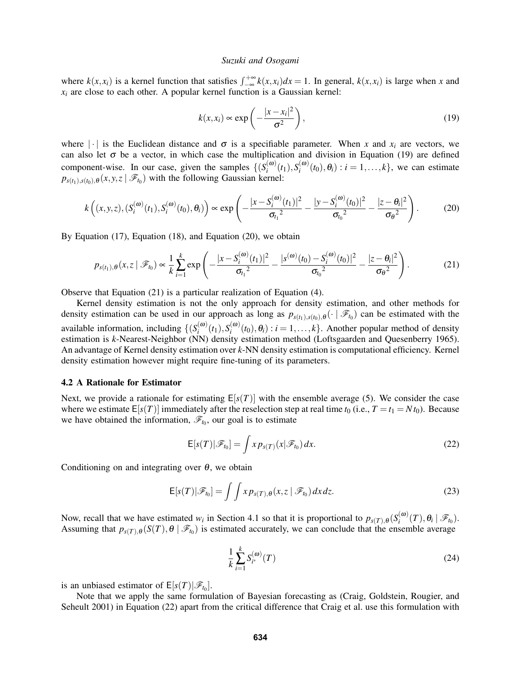where  $k(x, x_i)$  is a kernel function that satisfies  $\int_{-\infty}^{+\infty} k(x, x_i) dx = 1$ . In general,  $k(x, x_i)$  is large when *x* and  $x_i$  are close to each other. A popular kernel function is a Gaussian kernel:

$$
k(x, x_i) \propto \exp\left(-\frac{|x - x_i|^2}{\sigma^2}\right),\tag{19}
$$

where  $|\cdot|$  is the Euclidean distance and  $\sigma$  is a specifiable parameter. When *x* and  $x_i$  are vectors, we can also let  $\sigma$  be a vector, in which case the multiplication and division in Equation (19) are defined component-wise. In our case, given the samples  $\{ (S_i^{(\omega)} \)$  $\binom{(\omega)}{i}(t_1), S_i^{(\omega)}$  $\mathbf{r}_i^{(\omega)}(t_0), \theta_i$  :  $i = 1, \ldots, k\}$ , we can estimate  $p_{s(t_1),s(t_0),\theta}(x, y, z \mid \mathscr{F}_{t_0})$  with the following Gaussian kernel:

$$
k\left((x,y,z),(S_i^{(\omega)}(t_1),S_i^{(\omega)}(t_0),\theta_i)\right) \propto \exp\left(-\frac{|x-S_i^{(\omega)}(t_1)|^2}{\sigma_{t_1}^2} - \frac{|y-S_i^{(\omega)}(t_0)|^2}{\sigma_{t_0}^2} - \frac{|z-\theta_i|^2}{\sigma_{\theta}^2}\right).
$$
 (20)

By Equation (17), Equation (18), and Equation (20), we obtain

$$
p_{s(t_1),\theta}(x,z \mid \mathscr{F}_{t_0}) \propto \frac{1}{k} \sum_{i=1}^k \exp\left(-\frac{|x - S_i^{(\omega)}(t_1)|^2}{\sigma_{t_1}^2} - \frac{|s^{(\omega)}(t_0) - S_i^{(\omega)}(t_0)|^2}{\sigma_{t_0}^2} - \frac{|z - \theta_i|^2}{\sigma_{\theta}^2}\right).
$$
(21)

Observe that Equation (21) is a particular realization of Equation (4).

Kernel density estimation is not the only approach for density estimation, and other methods for density estimation can be used in our approach as long as  $p_{s(t_1),s(t_0),\theta}(\cdot | \mathcal{F}_{t_0})$  can be estimated with the available information, including  $\{ (S_i^{(\omega)} \)$  $\binom{(\omega)}{i}(t_1), S_i^{(\omega)}$  $\mathbf{r}_i^{(\omega)}(t_0), \theta_i$  :  $i = 1, \ldots, k$ . Another popular method of density estimation is *k*-Nearest-Neighbor (NN) density estimation method (Loftsgaarden and Quesenberry 1965). An advantage of Kernel density estimation over *k*-NN density estimation is computational efficiency. Kernel density estimation however might require fine-tuning of its parameters.

### 4.2 A Rationale for Estimator

Next, we provide a rationale for estimating  $E[s(T)]$  with the ensemble average (5). We consider the case where we estimate  $E[s(T)]$  immediately after the reselection step at real time  $t_0$  (i.e.,  $T = t_1 = N t_0$ ). Because we have obtained the information,  $\mathscr{F}_{t_0}$ , our goal is to estimate

$$
\mathsf{E}[s(T)|\mathscr{F}_{t_0}] = \int x p_{s(T)}(x|\mathscr{F}_{t_0}) dx.
$$
 (22)

Conditioning on and integrating over  $\theta$ , we obtain

$$
E[s(T)|\mathscr{F}_{t_0}] = \int\int x p_{s(T),\theta}(x,z \mid \mathscr{F}_{t_0}) dx dz.
$$
 (23)

Now, recall that we have estimated  $w_i$  in Section 4.1 so that it is proportional to  $p_{s(T),\theta}(S_i^{(\omega)})$  $\theta_i^{(\boldsymbol{w})}(T), \theta_i \mid \mathscr{F}_{t_0}$ ). Assuming that  $p_{s(T),\theta}(S(T),\theta \mid \mathscr{F}_{t_0})$  is estimated accurately, we can conclude that the ensemble average

$$
\frac{1}{k} \sum_{i=1}^{k} S_{i^*}^{(\omega)}(T) \tag{24}
$$

is an unbiased estimator of  $E[s(T)|\mathcal{F}_{t_0}]$ .

Note that we apply the same formulation of Bayesian forecasting as (Craig, Goldstein, Rougier, and Seheult 2001) in Equation (22) apart from the critical difference that Craig et al. use this formulation with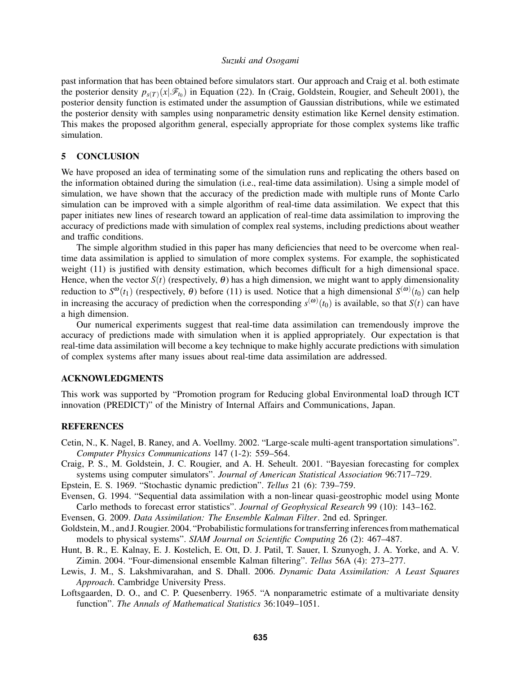past information that has been obtained before simulators start. Our approach and Craig et al. both estimate the posterior density  $p_{s(T)}(x|\mathscr{F}_{t_0})$  in Equation (22). In (Craig, Goldstein, Rougier, and Seheult 2001), the posterior density function is estimated under the assumption of Gaussian distributions, while we estimated the posterior density with samples using nonparametric density estimation like Kernel density estimation. This makes the proposed algorithm general, especially appropriate for those complex systems like traffic simulation.

### 5 CONCLUSION

We have proposed an idea of terminating some of the simulation runs and replicating the others based on the information obtained during the simulation (i.e., real-time data assimilation). Using a simple model of simulation, we have shown that the accuracy of the prediction made with multiple runs of Monte Carlo simulation can be improved with a simple algorithm of real-time data assimilation. We expect that this paper initiates new lines of research toward an application of real-time data assimilation to improving the accuracy of predictions made with simulation of complex real systems, including predictions about weather and traffic conditions.

The simple algorithm studied in this paper has many deficiencies that need to be overcome when realtime data assimilation is applied to simulation of more complex systems. For example, the sophisticated weight (11) is justified with density estimation, which becomes difficult for a high dimensional space. Hence, when the vector  $S(t)$  (respectively,  $\theta$ ) has a high dimension, we might want to apply dimensionality reduction to  $S^{\omega}(t_1)$  (respectively,  $\theta$ ) before (11) is used. Notice that a high dimensional  $S^{(\omega)}(t_0)$  can help in increasing the accuracy of prediction when the corresponding  $s^{(\omega)}(t_0)$  is available, so that  $S(t)$  can have a high dimension.

Our numerical experiments suggest that real-time data assimilation can tremendously improve the accuracy of predictions made with simulation when it is applied appropriately. Our expectation is that real-time data assimilation will become a key technique to make highly accurate predictions with simulation of complex systems after many issues about real-time data assimilation are addressed.

### ACKNOWLEDGMENTS

This work was supported by "Promotion program for Reducing global Environmental loaD through ICT innovation (PREDICT)" of the Ministry of Internal Affairs and Communications, Japan.

#### **REFERENCES**

- Cetin, N., K. Nagel, B. Raney, and A. Voellmy. 2002. "Large-scale multi-agent transportation simulations". *Computer Physics Communications* 147 (1-2): 559–564.
- Craig, P. S., M. Goldstein, J. C. Rougier, and A. H. Seheult. 2001. "Bayesian forecasting for complex systems using computer simulators". *Journal of American Statistical Association* 96:717–729.

Epstein, E. S. 1969. "Stochastic dynamic prediction". *Tellus* 21 (6): 739–759.

- Evensen, G. 1994. "Sequential data assimilation with a non-linear quasi-geostrophic model using Monte Carlo methods to forecast error statistics". *Journal of Geophysical Research* 99 (10): 143–162.
- Evensen, G. 2009. *Data Assimilation: The Ensemble Kalman Filter*. 2nd ed. Springer.
- Goldstein, M., and J. Rougier. 2004. "Probabilistic formulations fortransferring inferences from mathematical models to physical systems". *SIAM Journal on Scientific Computing* 26 (2): 467–487.
- Hunt, B. R., E. Kalnay, E. J. Kostelich, E. Ott, D. J. Patil, T. Sauer, I. Szunyogh, J. A. Yorke, and A. V. Zimin. 2004. "Four-dimensional ensemble Kalman filtering". *Tellus* 56A (4): 273–277.
- Lewis, J. M., S. Lakshmivarahan, and S. Dhall. 2006. *Dynamic Data Assimilation: A Least Squares Approach*. Cambridge University Press.
- Loftsgaarden, D. O., and C. P. Quesenberry. 1965. "A nonparametric estimate of a multivariate density function". *The Annals of Mathematical Statistics* 36:1049–1051.